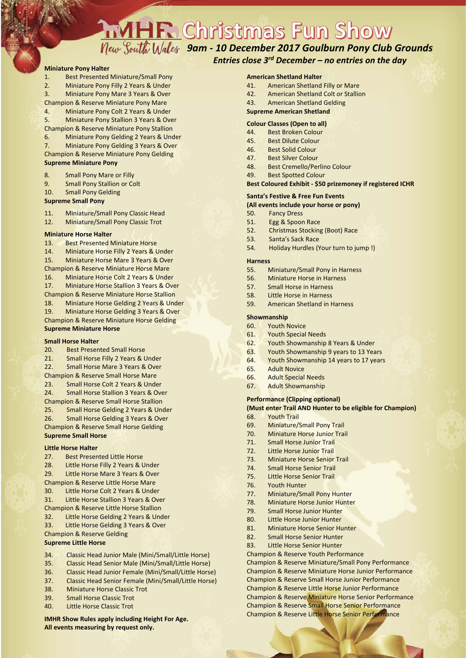# **AMHR Christmas Fun Show**

# *9am - 10 December 2017 Goulburn Pony Club Grounds*

# *Entries close 3rd December – no entries on the day*

#### **Miniature Pony Halter**

- 1. Best Presented Miniature/Small Pony
- 2. Miniature Pony Filly 2 Years & Under
- 3. Miniature Pony Mare 3 Years & Over
- Champion & Reserve Miniature Pony Mare
- 4. Miniature Pony Colt 2 Years & Under
- 5. Miniature Pony Stallion 3 Years & Over
- Champion & Reserve Miniature Pony Stallion
- 6. Miniature Pony Gelding 2 Years & Under 7. Miniature Pony Gelding 3 Years & Over
- Champion & Reserve Miniature Pony Gelding

### **Supreme Miniature Pony**

- 8. Small Pony Mare or Filly
- 9. Small Pony Stallion or Colt
- 10. Small Pony Gelding

#### **Supreme Small Pony**

- 11. Miniature/Small Pony Classic Head
- 12. Miniature/Small Pony Classic Trot

#### **Miniature Horse Halter**

- 13. Best Presented Miniature Horse
- 14. Miniature Horse Filly 2 Years & Under

15. Miniature Horse Mare 3 Years & Over

- Champion & Reserve Miniature Horse Mare 16. Miniature Horse Colt 2 Years & Under
- 17. Miniature Horse Stallion 3 Years & Over
- Champion & Reserve Miniature Horse Stallion
- 18. Miniature Horse Gelding 2 Years & Under
- 19. Miniature Horse Gelding 3 Years & Over

Champion & Reserve Miniature Horse Gelding **Supreme Miniature Horse**

#### **Small Horse Halter**

- 20. Best Presented Small Horse
- 21. Small Horse Filly 2 Years & Under
- 22. Small Horse Mare 3 Years & Over
- Champion & Reserve Small Horse Mare
- 23. Small Horse Colt 2 Years & Under
- 24. Small Horse Stallion 3 Years & Over
- Champion & Reserve Small Horse Stallion
- 25. Small Horse Gelding 2 Years & Under
- 26. Small Horse Gelding 3 Years & Over

#### Champion & Reserve Small Horse Gelding

#### **Supreme Small Horse**

#### **Little Horse Halter**

- 27. Best Presented Little Horse
- 28. Little Horse Filly 2 Years & Under
- 29. Little Horse Mare 3 Years & Over
- Champion & Reserve Little Horse Mare
- 30. Little Horse Colt 2 Years & Under
- 31. Little Horse Stallion 3 Years & Over
- Champion & Reserve Little Horse Stallion
- 32. Little Horse Gelding 2 Years & Under
- 33. Little Horse Gelding 3 Years & Over Champion & Reserve Gelding

# **Supreme Little Horse**

- 34. Classic Head Junior Male (Mini/Small/Little Horse)
- 35. Classic Head Senior Male (Mini/Small/Little Horse)
- 36. Classic Head Junior Female (Mini/Small/Little Horse)
- 37. Classic Head Senior Female (Mini/Small/Little Horse)
- 38. Miniature Horse Classic Trot
- 39. Small Horse Classic Trot
- 40. Little Horse Classic Trot

#### **IMHR Show Rules apply including Height For Age. All events measuring by request only.**

#### **American Shetland Halter**

- 41. American Shetland Filly or Mare
- 42. American Shetland Colt or Stallion
- 43. American Shetland Gelding

#### **Supreme American Shetland**

#### **Colour Classes (Open to all)**

- 44. Best Broken Colour
- 45. Best Dilute Colour
- 46. Best Solid Colour
- 47. Best Silver Colour
- 48. Best Cremello/Perlino Colour
- 49. Best Spotted Colour

#### **Best Coloured Exhibit - \$50 prizemoney if registered ICHR**

#### **Santa's Festive & Free Fun Events**

#### **(All events include your horse or pony)**

- 50. Fancy Dress
- 51. Egg & Spoon Race 52. Christmas Stocking (Boot) Race
- 53. Santa's Sack Race
- 
- 54. Holiday Hurdles (Your turn to jump !)

#### **Harness**

- 55. Miniature/Small Pony in Harness
- 56. Miniature Horse in Harness
- 57. Small Horse in Harness
- 58. Little Horse in Harness
- 59. American Shetland in Harness

#### **Showmanship**

- 60. Youth Novice
- 61. Youth Special Needs
- 62. Youth Showmanship 8 Years & Under
- 63. Youth Showmanship 9 years to 13 Years
- 64. Youth Showmanship 14 years to 17 years
- 65. Adult Novice
- 66. Adult Special Needs
- 67. Adult Showmanship

#### **Performance (Clipping optional)**

69. Miniature/Small Pony Trail 70. Miniature Horse Junior Trail 71. Small Horse Junior Trail 72. Little Horse Junior Trail 73. Miniature Horse Senior Trail 74. Small Horse Senior Trail 75. Little Horse Senior Trail

77. Miniature/Small Pony Hunter 78. Miniature Horse Junior Hunter 79. Small Horse Junior Hunter 80. Little Horse Junior Hunter 81. Miniature Horse Senior Hunter 82. Small Horse Senior Hunter 83. Little Horse Senior Hunter Champion & Reserve Youth Performance

**(Must enter Trail AND Hunter to be eligible for Champion)**

Champion & Reserve Miniature/Small Pony Performance Champion & Reserve Miniature Horse Junior Performance Champion & Reserve Small Horse Junior Performance Champion & Reserve Little Horse Junior Performance Champion & Reserve Miniature Horse Senior Performance Champion & Reserve Small Horse Senior Performance Champion & Reserve Little Horse Senior Performance

68. Youth Trail

76. Youth Hunter